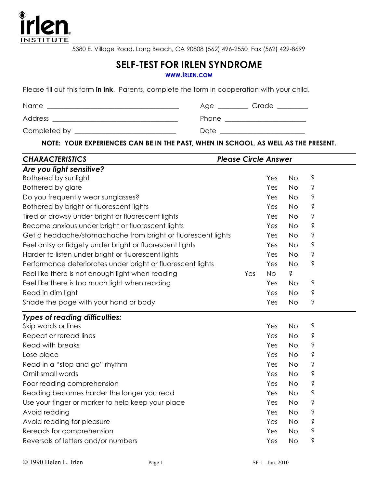

 $\mathcal{L}_\mathcal{L} = \mathcal{L}_\mathcal{L} = \mathcal{L}_\mathcal{L} = \mathcal{L}_\mathcal{L} = \mathcal{L}_\mathcal{L} = \mathcal{L}_\mathcal{L} = \mathcal{L}_\mathcal{L} = \mathcal{L}_\mathcal{L} = \mathcal{L}_\mathcal{L} = \mathcal{L}_\mathcal{L} = \mathcal{L}_\mathcal{L} = \mathcal{L}_\mathcal{L} = \mathcal{L}_\mathcal{L} = \mathcal{L}_\mathcal{L} = \mathcal{L}_\mathcal{L} = \mathcal{L}_\mathcal{L} = \mathcal{L}_\mathcal{L}$ 5380 E. Village Road, Long Beach, CA 90808 (562) 496-2550 Fax (562) 429-8699

## **SELF-TEST FOR IRLEN SYNDROME**

**WWW.IRLEN.COM**

Please fill out this form **in ink**. Parents, complete the form in cooperation with your child.

| Name         | Age   | Grade |
|--------------|-------|-------|
| Address      | Phone |       |
| Completed by | Date  |       |

**NOTE: YOUR EXPERIENCES CAN BE IN THE PAST, WHEN IN SCHOOL, AS WELL AS THE PRESENT.**

| <b>CHARACTERISTICS</b>                                       | <b>Please Circle Answer</b> |           |           |   |  |
|--------------------------------------------------------------|-----------------------------|-----------|-----------|---|--|
| Are you light sensitive?                                     |                             |           |           |   |  |
| Bothered by sunlight                                         |                             | Yes       | <b>No</b> | Ś |  |
| <b>Bothered by glare</b>                                     |                             | Yes       | <b>No</b> | Ś |  |
| Do you frequently wear sunglasses?                           |                             | Yes       | <b>No</b> | Ś |  |
| Bothered by bright or fluorescent lights                     |                             | Yes       | <b>No</b> | Ś |  |
| Tired or drowsy under bright or fluorescent lights           |                             | Yes       | <b>No</b> | Ś |  |
| Become anxious under bright or fluorescent lights            |                             | Yes       | <b>No</b> | Ś |  |
| Get a headache/stomachache from bright or fluorescent lights |                             | Yes       | <b>No</b> | Ś |  |
| Feel antsy or fidgety under bright or fluorescent lights     |                             | Yes       | <b>No</b> | Ś |  |
| Harder to listen under bright or fluorescent lights          |                             | Yes       | <b>No</b> | Ś |  |
| Performance deteriorates under bright or fluorescent lights  |                             | Yes       | <b>No</b> | Ś |  |
| Feel like there is not enough light when reading             | Yes                         | <b>No</b> | Ś         |   |  |
| Feel like there is too much light when reading               |                             | Yes       | No        | Ś |  |
| Read in dim light                                            |                             | Yes       | <b>No</b> | Ŝ |  |
| Shade the page with your hand or body                        |                             | Yes       | <b>No</b> | Ś |  |
| <b>Types of reading difficulties:</b>                        |                             |           |           |   |  |
| Skip words or lines                                          |                             | Yes       | <b>No</b> | Ś |  |
| Repeat or reread lines                                       |                             | Yes       | <b>No</b> | Ś |  |
| <b>Read with breaks</b>                                      |                             | Yes       | <b>No</b> | Ś |  |
| Lose place                                                   |                             | Yes       | <b>No</b> | Ś |  |
| Read in a "stop and go" rhythm                               |                             | Yes       | <b>No</b> | Ś |  |
| Omit small words                                             |                             | Yes       | <b>No</b> | Ś |  |
| Poor reading comprehension                                   |                             | Yes       | <b>No</b> | Ś |  |
| Reading becomes harder the longer you read                   |                             | Yes       | <b>No</b> | Ś |  |
| Use your finger or marker to help keep your place            |                             | Yes       | <b>No</b> | Ŝ |  |
| Avoid reading                                                |                             | Yes       | <b>No</b> | Ś |  |
| Avoid reading for pleasure                                   |                             | Yes       | <b>No</b> | Ś |  |
| Rereads for comprehension                                    |                             | Yes       | <b>No</b> | Ś |  |
| Reversals of letters and/or numbers                          |                             | Yes       | <b>No</b> | Ŝ |  |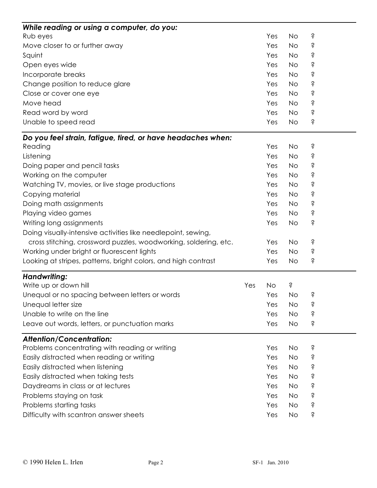| While reading or using a computer, do you:                       |     |           |           |   |  |
|------------------------------------------------------------------|-----|-----------|-----------|---|--|
| Rub eyes                                                         |     | Yes       | <b>No</b> | Ś |  |
| Move closer to or further away                                   |     | Yes       | <b>No</b> | Ś |  |
| Squint                                                           |     | Yes       | <b>No</b> | Ś |  |
| Open eyes wide                                                   |     | Yes       | <b>No</b> | Ś |  |
| Incorporate breaks                                               |     | Yes       | <b>No</b> | Ŝ |  |
| Change position to reduce glare                                  |     | Yes       | <b>No</b> | Ś |  |
| Close or cover one eye                                           |     | Yes       | <b>No</b> | Ś |  |
| Move head                                                        |     | Yes       | <b>No</b> | Ś |  |
| Read word by word                                                |     | Yes       | <b>No</b> | Ś |  |
| Unable to speed read                                             |     | Yes       | <b>No</b> | Ś |  |
| Do you feel strain, fatigue, tired, or have headaches when:      |     |           |           |   |  |
| Reading                                                          |     | Yes       | <b>No</b> | Ś |  |
| Listening                                                        |     | Yes       | <b>No</b> | Ś |  |
| Doing paper and pencil tasks                                     |     | Yes       | <b>No</b> | Ś |  |
| Working on the computer                                          |     | Yes       | <b>No</b> | Ś |  |
| Watching TV, movies, or live stage productions                   |     | Yes       | <b>No</b> | Ś |  |
| Copying material                                                 |     | Yes       | <b>No</b> | Ś |  |
| Doing math assignments                                           |     | Yes       | <b>No</b> | Ś |  |
| Playing video games                                              |     | Yes       | <b>No</b> | Ś |  |
| Writing long assignments                                         |     | Yes       | <b>No</b> | Ś |  |
| Doing visually-intensive activities like needlepoint, sewing,    |     |           |           |   |  |
| cross stitching, crossword puzzles, woodworking, soldering, etc. |     | Yes       | <b>No</b> | Ś |  |
| Working under bright or fluorescent lights                       |     | Yes       | <b>No</b> | Ś |  |
| Looking at stripes, patterns, bright colors, and high contrast   |     | Yes       | <b>No</b> | Ś |  |
| <b>Handwriting:</b>                                              |     |           |           |   |  |
| Write up or down hill                                            | Yes | <b>No</b> | Ś         |   |  |
| Unequal or no spacing between letters or words                   |     | Yes       | No        | Ś |  |
| Unequal letter size                                              |     | Yes       | <b>No</b> | Ś |  |
| Unable to write on the line                                      |     | Yes       | <b>No</b> | Ś |  |
| Leave out words, letters, or punctuation marks                   |     | Yes       | No        | Ś |  |
| <b>Attention/Concentration:</b>                                  |     |           |           |   |  |
| Problems concentrating with reading or writing                   |     | Yes       | No        | Ś |  |
| Easily distracted when reading or writing                        |     | Yes       | <b>No</b> | Ś |  |
| Easily distracted when listening                                 |     | Yes       | No        | Ś |  |
| Easily distracted when taking tests                              |     | Yes       | <b>No</b> | Ś |  |
| Daydreams in class or at lectures                                |     | Yes       | <b>No</b> | Ś |  |
| Problems staying on task                                         |     | Yes       | <b>No</b> | Ś |  |
| Problems starting tasks                                          |     | Yes       | <b>No</b> | Ś |  |
| Difficulty with scantron answer sheets                           |     | Yes       | No.       | Ś |  |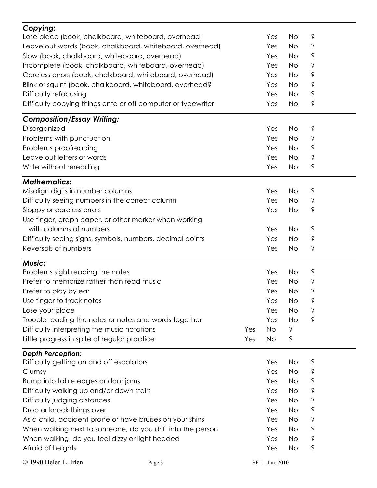| Copying:                                                     |        |  |                |           |   |
|--------------------------------------------------------------|--------|--|----------------|-----------|---|
| Lose place (book, chalkboard, whiteboard, overhead)          |        |  | Yes            | <b>No</b> | Ś |
| Leave out words (book, chalkboard, whiteboard, overhead)     |        |  |                | <b>No</b> | Ś |
| Slow (book, chalkboard, whiteboard, overhead)                |        |  |                | <b>No</b> | Ŝ |
| Incomplete (book, chalkboard, whiteboard, overhead)          |        |  |                | <b>No</b> | Ś |
| Careless errors (book, chalkboard, whiteboard, overhead)     |        |  |                | <b>No</b> | Ŝ |
| Blink or squint (book, chalkboard, whiteboard, overhead?     |        |  | Yes            | <b>No</b> | Ś |
| Difficulty refocusing                                        |        |  | Yes            | <b>No</b> | Ś |
| Difficulty copying things onto or off computer or typewriter |        |  | Yes            | <b>No</b> | Ś |
| <b>Composition/Essay Writing:</b>                            |        |  |                |           |   |
| Disorganized                                                 |        |  | Yes            | <b>No</b> | Ś |
| Problems with punctuation                                    |        |  | Yes            | <b>No</b> | Ś |
| Problems proofreading                                        |        |  | Yes            | <b>No</b> | Ś |
| Leave out letters or words                                   |        |  | Yes            | <b>No</b> | Ś |
| Write without rereading                                      |        |  | Yes            | No        | Ś |
| <b>Mathematics:</b>                                          |        |  |                |           |   |
| Misalign digits in number columns                            |        |  | Yes            | <b>No</b> | Ś |
| Difficulty seeing numbers in the correct column              |        |  | Yes            | <b>No</b> | Ś |
| Sloppy or careless errors                                    |        |  | Yes            | <b>No</b> | Ŝ |
| Use finger, graph paper, or other marker when working        |        |  |                |           |   |
| with columns of numbers                                      |        |  | Yes            | <b>No</b> | Ś |
| Difficulty seeing signs, symbols, numbers, decimal points    |        |  | Yes            | <b>No</b> | Ś |
| Reversals of numbers                                         |        |  | Yes            | <b>No</b> | Ś |
| <b>Music:</b>                                                |        |  |                |           |   |
| Problems sight reading the notes                             |        |  | Yes            | <b>No</b> | Ŝ |
| Prefer to memorize rather than read music                    |        |  | Yes            | <b>No</b> | Ś |
| Prefer to play by ear                                        |        |  | Yes            | <b>No</b> | Ŝ |
| Use finger to track notes                                    |        |  | Yes            | No        | Ś |
| Lose your place                                              |        |  | Yes            | <b>No</b> | Ś |
| Trouble reading the notes or notes and words together        |        |  | Yes            | <b>No</b> | Ś |
| Difficulty interpreting the music notations                  | Yes    |  | <b>No</b>      | Ś         |   |
| Little progress in spite of regular practice                 | Yes    |  | No             | Ś         |   |
| <b>Depth Perception:</b>                                     |        |  |                |           |   |
| Difficulty getting on and off escalators                     |        |  | Yes            | No        | Ś |
| Clumsy                                                       |        |  | Yes            | <b>No</b> | Ś |
| Bump into table edges or door jams                           |        |  | Yes            | <b>No</b> | Ś |
| Difficulty walking up and/or down stairs                     |        |  | Yes            | <b>No</b> | Ś |
| Difficulty judging distances                                 |        |  | Yes            | <b>No</b> | Ŝ |
| Drop or knock things over                                    |        |  | Yes            | <b>No</b> | Ś |
| As a child, accident prone or have bruises on your shins     |        |  | Yes            | <b>No</b> | Ś |
| When walking next to someone, do you drift into the person   |        |  | Yes            | <b>No</b> | Ś |
| When walking, do you feel dizzy or light headed              |        |  | Yes            | <b>No</b> | Ś |
| Afraid of heights                                            |        |  | Yes            | <b>No</b> | Ś |
|                                                              |        |  |                |           |   |
| © 1990 Helen L. Irlen                                        | Page 3 |  | SF-1 Jan. 2010 |           |   |